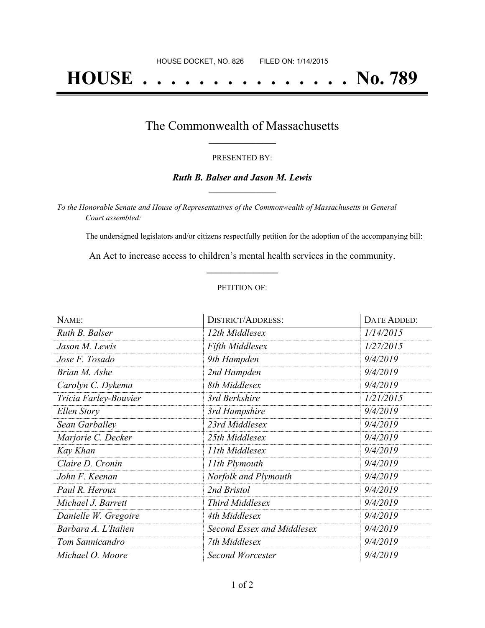# **HOUSE . . . . . . . . . . . . . . . No. 789**

### The Commonwealth of Massachusetts **\_\_\_\_\_\_\_\_\_\_\_\_\_\_\_\_\_**

#### PRESENTED BY:

#### *Ruth B. Balser and Jason M. Lewis* **\_\_\_\_\_\_\_\_\_\_\_\_\_\_\_\_\_**

*To the Honorable Senate and House of Representatives of the Commonwealth of Massachusetts in General Court assembled:*

The undersigned legislators and/or citizens respectfully petition for the adoption of the accompanying bill:

An Act to increase access to children's mental health services in the community. **\_\_\_\_\_\_\_\_\_\_\_\_\_\_\_**

#### PETITION OF:

| NAME:                 | <b>DISTRICT/ADDRESS:</b>     | <b>DATE ADDED:</b> |
|-----------------------|------------------------------|--------------------|
| Ruth B. Balser        | 12th Middlesex               | 1/14/2015          |
| Jason M. Lewis        | Fifth Middlesex              | 1/27/2015          |
| Jose F. Tosado        | 9th Hampden                  | 9/4/2019           |
| Brian M. Ashe         | 2nd Hampden                  | 9/4/2019           |
| Carolyn C. Dykema     | 8th Middlesex                | 9/4/2019           |
| Tricia Farley-Bouvier | 3rd Berkshire                | 1/21/2015          |
| Ellen Story           | 3rd Hampshire                | 9/4/2019           |
| Sean Garballey        | 23rd Middlesex               | 9/4/2019           |
| Marjorie C. Decker    | 25th Middlesex               | 9/4/2019           |
| Kay Khan              | 11th Middlesex               | 9/4/2019           |
| Claire D. Cronin      | 11th Plymouth                | 9/4/2019           |
| John F. Keenan        | Norfolk and Plymouth         | 9/4/2019           |
| Paul R. Heroux        | 2nd Bristol                  | 9/4/2019           |
| Michael J. Barrett    | <b>Third Middlesex</b>       | 9/4/2019           |
| Danielle W. Gregoire  | 4th Middlesex                | 9/4/2019           |
| Barbara A. L'Italien  | Second Essex and Middlesex   | 9/4/2019           |
| Tom Sannicandro       | 7th Middlesex                | 9/4/2019           |
| Michael O. Moore      | 9/4/2019<br>Second Worcester |                    |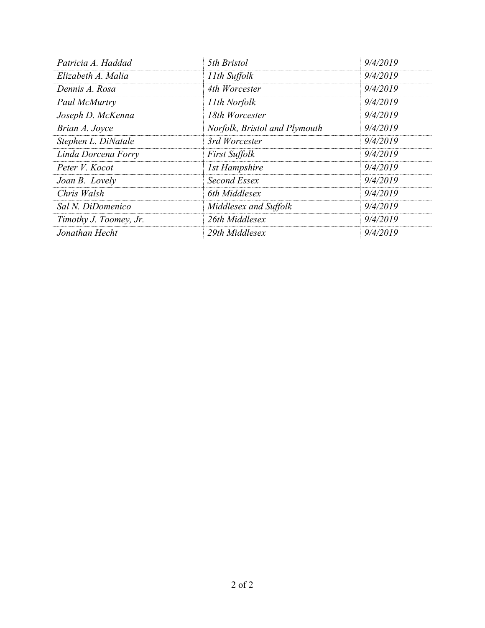| Patricia A. Haddad     | 5th Bristol                   | 9/4/2019 |
|------------------------|-------------------------------|----------|
| Elizabeth A. Malia     | 11th Suffolk                  | 9/4/2019 |
| Dennis A. Rosa         | 4th Worcester                 | 9/4/2019 |
| Paul McMurtry          | 11th Norfolk                  | 9/4/2019 |
| Joseph D. McKenna      | 18th Worcester                | 9/4/2019 |
| Brian A. Joyce         | Norfolk, Bristol and Plymouth | 9/4/2019 |
| Stephen L. DiNatale    | 3rd Worcester                 | 9/4/2019 |
| Linda Dorcena Forry    | <b>First Suffolk</b>          | 9/4/2019 |
| Peter V. Kocot         | <b>1st Hampshire</b>          | 9/4/2019 |
| Joan B. Lovely         | Second Essex                  | 9/4/2019 |
| Chris Walsh            | 6th Middlesex                 | 9/4/2019 |
| Sal N. DiDomenico      | Middlesex and Suffolk         | 9/4/2019 |
| Timothy J. Toomey, Jr. | 26th Middlesex                | 9/4/2019 |
| Jonathan Hecht         | 29th Middlesex                | 9/4/2019 |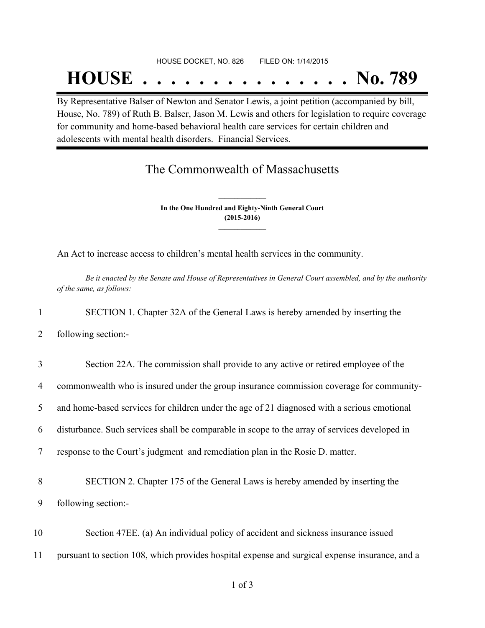### HOUSE DOCKET, NO. 826 FILED ON: 1/14/2015

## **HOUSE . . . . . . . . . . . . . . . No. 789**

By Representative Balser of Newton and Senator Lewis, a joint petition (accompanied by bill, House, No. 789) of Ruth B. Balser, Jason M. Lewis and others for legislation to require coverage for community and home-based behavioral health care services for certain children and adolescents with mental health disorders. Financial Services.

## The Commonwealth of Massachusetts

**In the One Hundred and Eighty-Ninth General Court (2015-2016) \_\_\_\_\_\_\_\_\_\_\_\_\_\_\_**

**\_\_\_\_\_\_\_\_\_\_\_\_\_\_\_**

An Act to increase access to children's mental health services in the community.

Be it enacted by the Senate and House of Representatives in General Court assembled, and by the authority *of the same, as follows:*

1 SECTION 1. Chapter 32A of the General Laws is hereby amended by inserting the

2 following section:-

|  |  |  |  |  | Section 22A. The commission shall provide to any active or retired employee of the |
|--|--|--|--|--|------------------------------------------------------------------------------------|
|--|--|--|--|--|------------------------------------------------------------------------------------|

4 commonwealth who is insured under the group insurance commission coverage for community-

5 and home-based services for children under the age of 21 diagnosed with a serious emotional

6 disturbance. Such services shall be comparable in scope to the array of services developed in

7 response to the Court's judgment and remediation plan in the Rosie D. matter.

8 SECTION 2. Chapter 175 of the General Laws is hereby amended by inserting the 9 following section:-

10 Section 47EE. (a) An individual policy of accident and sickness insurance issued 11 pursuant to section 108, which provides hospital expense and surgical expense insurance, and a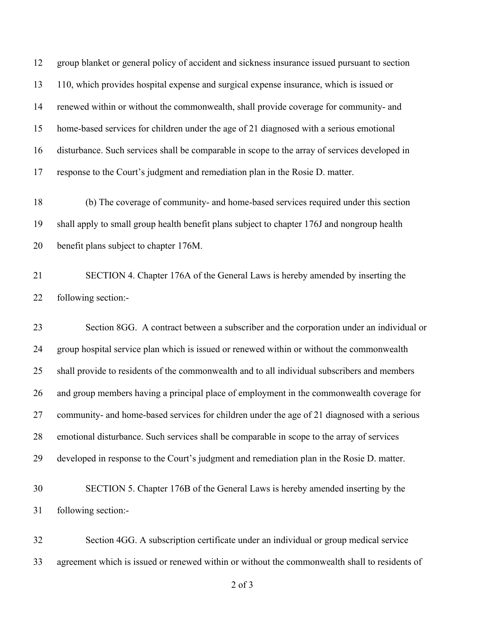group blanket or general policy of accident and sickness insurance issued pursuant to section 110, which provides hospital expense and surgical expense insurance, which is issued or renewed within or without the commonwealth, shall provide coverage for community- and home-based services for children under the age of 21 diagnosed with a serious emotional disturbance. Such services shall be comparable in scope to the array of services developed in response to the Court's judgment and remediation plan in the Rosie D. matter.

 (b) The coverage of community- and home-based services required under this section shall apply to small group health benefit plans subject to chapter 176J and nongroup health benefit plans subject to chapter 176M.

 SECTION 4. Chapter 176A of the General Laws is hereby amended by inserting the following section:-

 Section 8GG. A contract between a subscriber and the corporation under an individual or group hospital service plan which is issued or renewed within or without the commonwealth shall provide to residents of the commonwealth and to all individual subscribers and members and group members having a principal place of employment in the commonwealth coverage for community- and home-based services for children under the age of 21 diagnosed with a serious emotional disturbance. Such services shall be comparable in scope to the array of services developed in response to the Court's judgment and remediation plan in the Rosie D. matter.

## SECTION 5. Chapter 176B of the General Laws is hereby amended inserting by the following section:-

 Section 4GG. A subscription certificate under an individual or group medical service agreement which is issued or renewed within or without the commonwealth shall to residents of

of 3